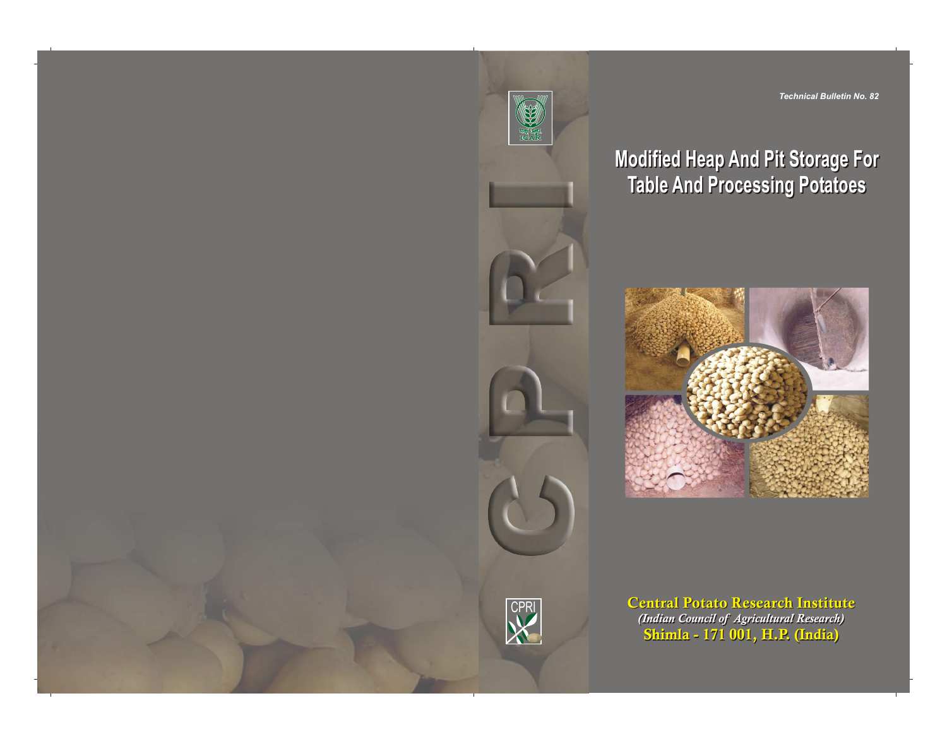

*Technical Bulletin No. 82*

# **Modified Heap And Pit Storage For Modified Heap And Pit Storage For Table And Processing Potatoes Table And Processing Potatoes**



**Central Potato Research Institute Central Potato Research Institute** *(Indian Council of Agricultural Research)* **Shimla - 171 001, H.P. (India)** *(Indian Council of Agricultural Research)* **Shimla - 171 001, H.P. (India)**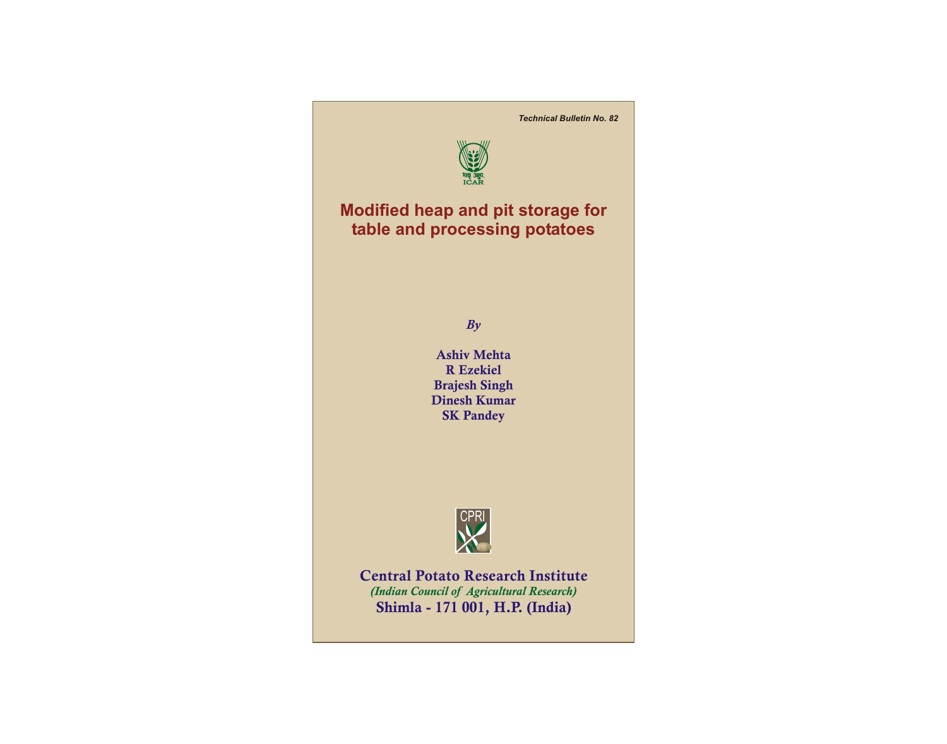*Technical Bulletin No. 82*



**Modified heap and pit storage for table and processing potatoes**

*By*

**Ashiv Mehta R Ezekiel Brajesh Singh Dinesh Kumar SK Pandey** 



**Central Potato Research Institute** *(Indian Council of Agricultural Research)* **Shimla - 171 001, H.P. (India)**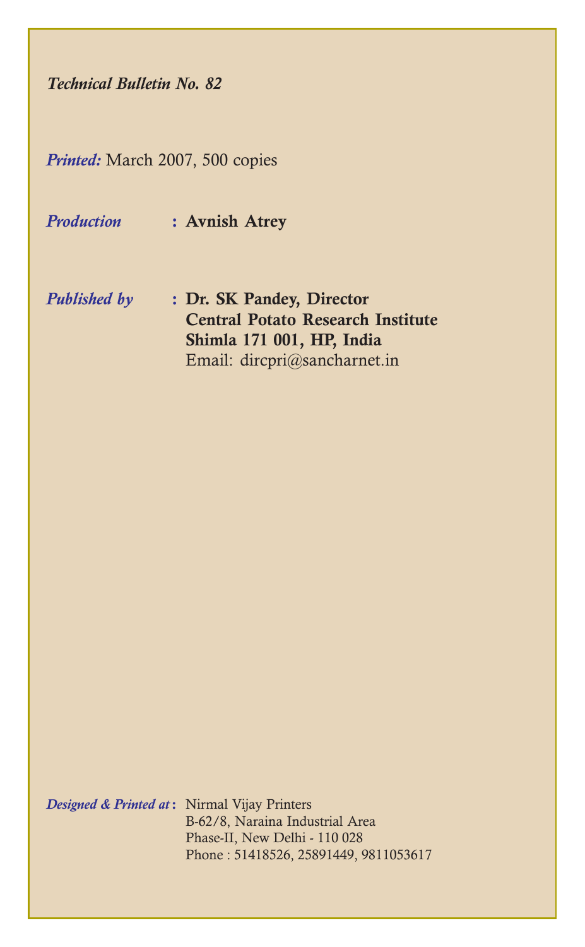Technical Bulletin No. 82

Printed: March 2007, 500 copies

Production : Avnish Atrey

Published by : Dr. SK Pandey, Director Central Potato Research Institute Shimla 171 001, HP, India Email: dircpri@sancharnet.in

Designed & Printed at: Nirmal Vijay Printers B-62/8, Naraina Industrial Area Phase-II, New Delhi - 110 028 Phone : 51418526, 25891449, 9811053617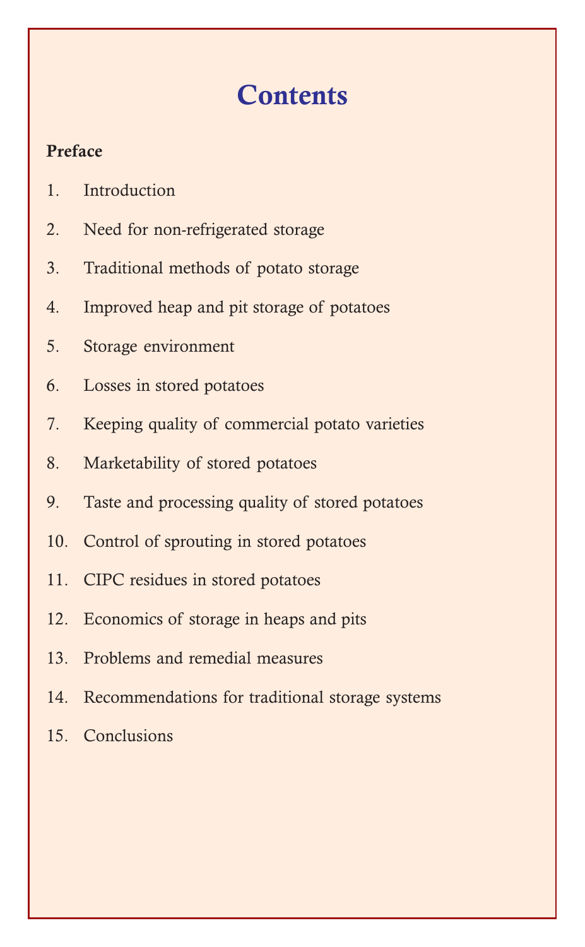# **Contents**

#### Preface

- 1. Introduction
- 2. Need for non-refrigerated storage
- 3. Traditional methods of potato storage
- 4. Improved heap and pit storage of potatoes
- 5. Storage environment
- 6. Losses in stored potatoes
- 7. Keeping quality of commercial potato varieties
- 8. Marketability of stored potatoes
- 9. Taste and processing quality of stored potatoes
- 10. Control of sprouting in stored potatoes
- 11. CIPC residues in stored potatoes
- 12. Economics of storage in heaps and pits
- 13. Problems and remedial measures
- 14. Recommendations for traditional storage systems
- 15. Conclusions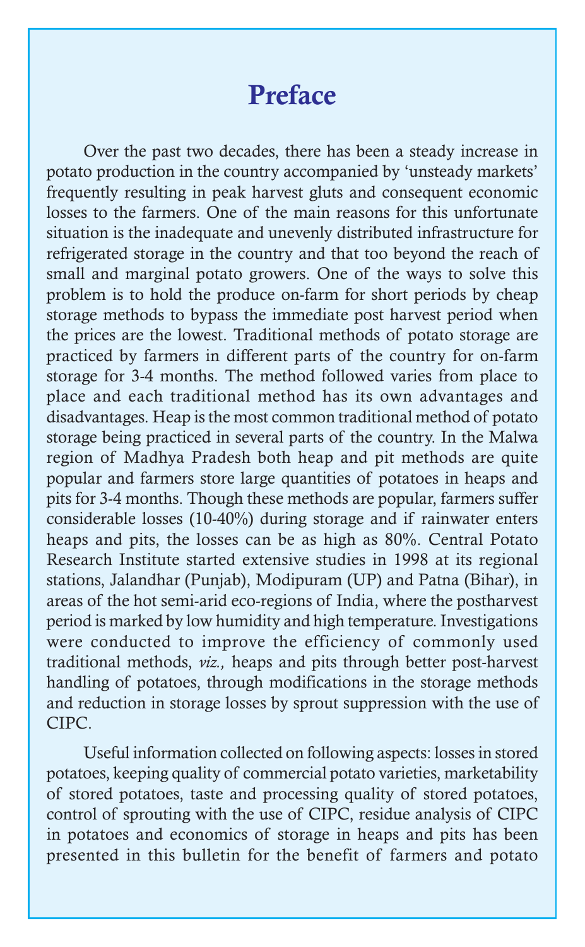# Preface

Over the past two decades, there has been a steady increase in potato production in the country accompanied by 'unsteady markets' frequently resulting in peak harvest gluts and consequent economic losses to the farmers. One of the main reasons for this unfortunate situation is the inadequate and unevenly distributed infrastructure for refrigerated storage in the country and that too beyond the reach of small and marginal potato growers. One of the ways to solve this problem is to hold the produce on-farm for short periods by cheap storage methods to bypass the immediate post harvest period when the prices are the lowest. Traditional methods of potato storage are practiced by farmers in different parts of the country for on-farm storage for 3-4 months. The method followed varies from place to place and each traditional method has its own advantages and disadvantages. Heap is the most common traditional method of potato storage being practiced in several parts of the country. In the Malwa region of Madhya Pradesh both heap and pit methods are quite popular and farmers store large quantities of potatoes in heaps and pits for 3-4 months. Though these methods are popular, farmers suffer considerable losses (10-40%) during storage and if rainwater enters heaps and pits, the losses can be as high as 80%. Central Potato Research Institute started extensive studies in 1998 at its regional stations, Jalandhar (Punjab), Modipuram (UP) and Patna (Bihar), in areas of the hot semi-arid eco-regions of India, where the postharvest period is marked by low humidity and high temperature. Investigations were conducted to improve the efficiency of commonly used traditional methods, viz., heaps and pits through better post-harvest handling of potatoes, through modifications in the storage methods and reduction in storage losses by sprout suppression with the use of CIPC.

Useful information collected on following aspects: losses in stored potatoes, keeping quality of commercial potato varieties, marketability of stored potatoes, taste and processing quality of stored potatoes, control of sprouting with the use of CIPC, residue analysis of CIPC in potatoes and economics of storage in heaps and pits has been presented in this bulletin for the benefit of farmers and potato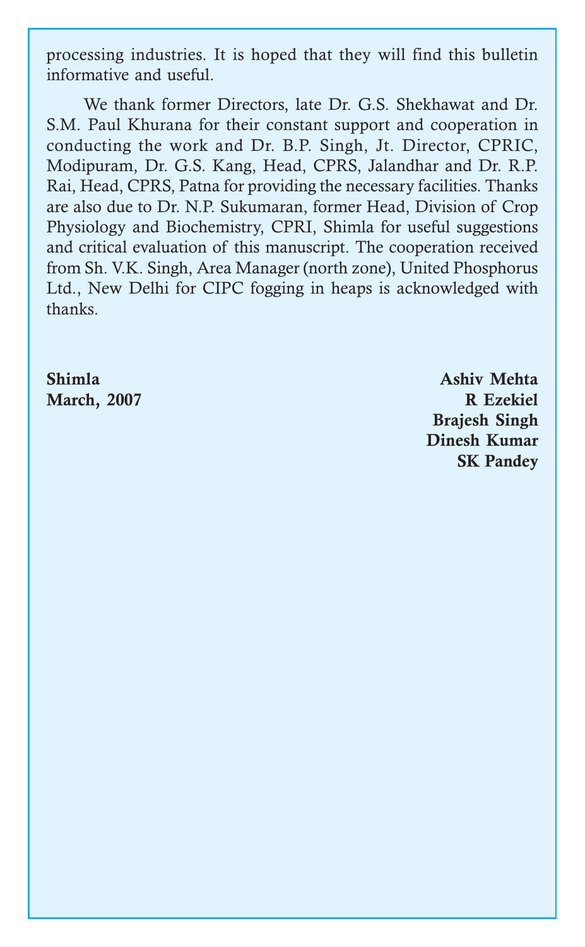processing industries. It is hoped that they will find this bulletin informative and useful.

We thank former Directors, late Dr. G.S. Shekhawat and Dr. S.M. Paul Khurana for their constant support and cooperation in conducting the work and Dr. B.P. Singh, Jt. Director, CPRIC, Modipuram, Dr. G.S. Kang, Head, CPRS, Jalandhar and Dr. R.P. Rai, Head, CPRS, Patna for providing the necessary facilities. Thanks are also due to Dr. N.P. Sukumaran, former Head, Division of Crop Physiology and Biochemistry, CPRI, Shimla for useful suggestions and critical evaluation of this manuscript. The cooperation received from Sh. V.K. Singh, Area Manager (north zone), United Phosphorus Ltd., New Delhi for CIPC fogging in heaps is acknowledged with thanks.

Shimla Ashiv Mehta

March, 2007 R Ezekiel Brajesh Singh Dinesh Kumar SK Pandey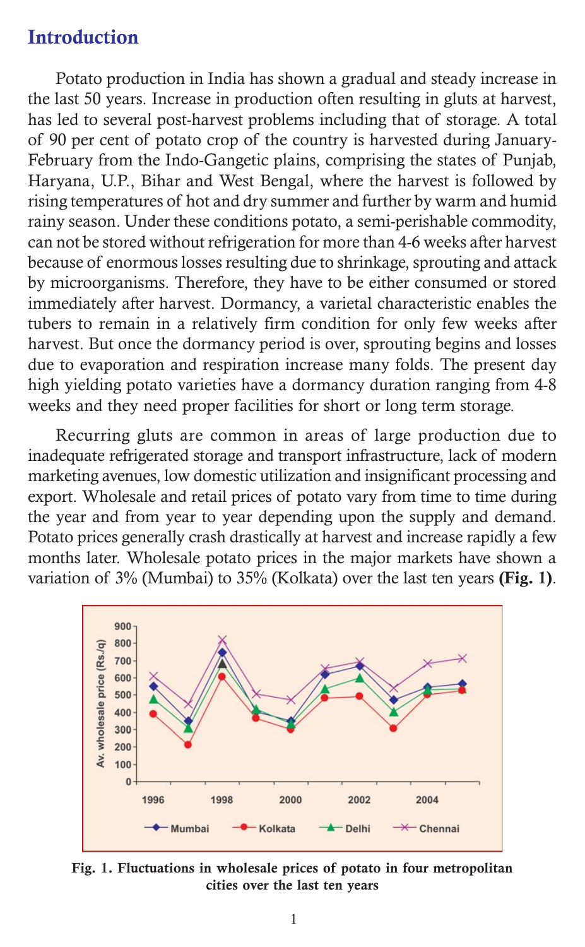## Introduction

Potato production in India has shown a gradual and steady increase in the last 50 years. Increase in production often resulting in gluts at harvest, has led to several post-harvest problems including that of storage. A total of 90 per cent of potato crop of the country is harvested during January-February from the Indo-Gangetic plains, comprising the states of Punjab, Haryana, U.P., Bihar and West Bengal, where the harvest is followed by rising temperatures of hot and dry summer and further by warm and humid rainy season. Under these conditions potato, a semi-perishable commodity, can not be stored without refrigeration for more than 4-6 weeks after harvest because of enormous losses resulting due to shrinkage, sprouting and attack by microorganisms. Therefore, they have to be either consumed or stored immediately after harvest. Dormancy, a varietal characteristic enables the tubers to remain in a relatively firm condition for only few weeks after harvest. But once the dormancy period is over, sprouting begins and losses due to evaporation and respiration increase many folds. The present day high yielding potato varieties have a dormancy duration ranging from 4-8 weeks and they need proper facilities for short or long term storage.

Recurring gluts are common in areas of large production due to inadequate refrigerated storage and transport infrastructure, lack of modern marketing avenues, low domestic utilization and insignificant processing and export. Wholesale and retail prices of potato vary from time to time during the year and from year to year depending upon the supply and demand. Potato prices generally crash drastically at harvest and increase rapidly a few months later. Wholesale potato prices in the major markets have shown a variation of 3% (Mumbai) to 35% (Kolkata) over the last ten years (Fig. 1).



Fig. 1. Fluctuations in wholesale prices of potato in four metropolitan cities over the last ten years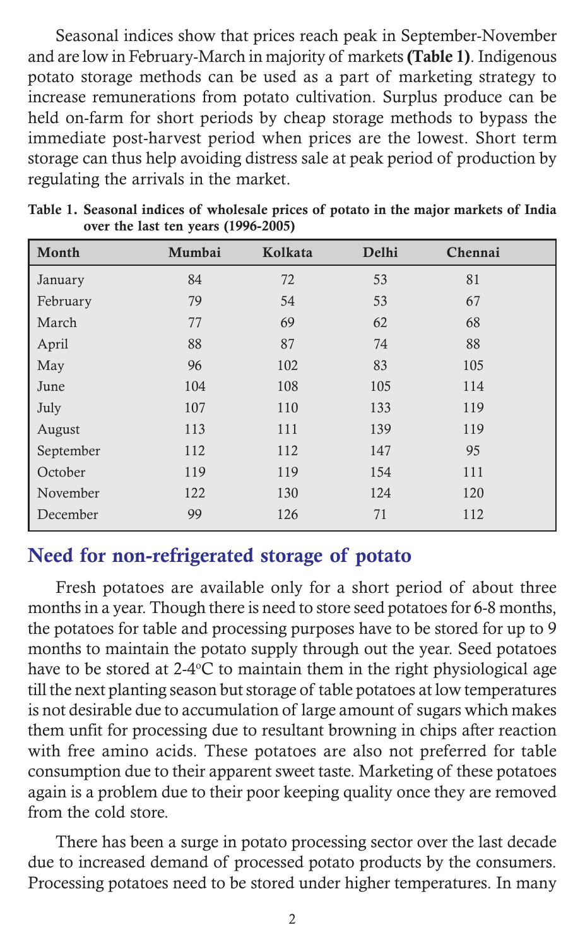Seasonal indices show that prices reach peak in September-November and are low in February-March in majority of markets (Table 1). Indigenous potato storage methods can be used as a part of marketing strategy to increase remunerations from potato cultivation. Surplus produce can be held on-farm for short periods by cheap storage methods to bypass the immediate post-harvest period when prices are the lowest. Short term storage can thus help avoiding distress sale at peak period of production by regulating the arrivals in the market.

| Month     | Mumbai | Kolkata | Delhi | Chennai |
|-----------|--------|---------|-------|---------|
| January   | 84     | 72      | 53    | 81      |
| February  | 79     | 54      | 53    | 67      |
| March     | 77     | 69      | 62    | 68      |
| April     | 88     | 87      | 74    | 88      |
| May       | 96     | 102     | 83    | 105     |
| June      | 104    | 108     | 105   | 114     |
| July      | 107    | 110     | 133   | 119     |
| August    | 113    | 111     | 139   | 119     |
| September | 112    | 112     | 147   | 95      |
| October   | 119    | 119     | 154   | 111     |
| November  | 122    | 130     | 124   | 120     |
| December  | 99     | 126     | 71    | 112     |

Table 1. Seasonal indices of wholesale prices of potato in the major markets of India over the last ten years (1996-2005)

#### Need for non-refrigerated storage of potato

Fresh potatoes are available only for a short period of about three months in a year. Though there is need to store seed potatoes for 6-8 months, the potatoes for table and processing purposes have to be stored for up to 9 months to maintain the potato supply through out the year. Seed potatoes have to be stored at 2-4°C to maintain them in the right physiological age till the next planting season but storage of table potatoes at low temperatures is not desirable due to accumulation of large amount of sugars which makes them unfit for processing due to resultant browning in chips after reaction with free amino acids. These potatoes are also not preferred for table consumption due to their apparent sweet taste. Marketing of these potatoes again is a problem due to their poor keeping quality once they are removed from the cold store.

There has been a surge in potato processing sector over the last decade due to increased demand of processed potato products by the consumers. Processing potatoes need to be stored under higher temperatures. In many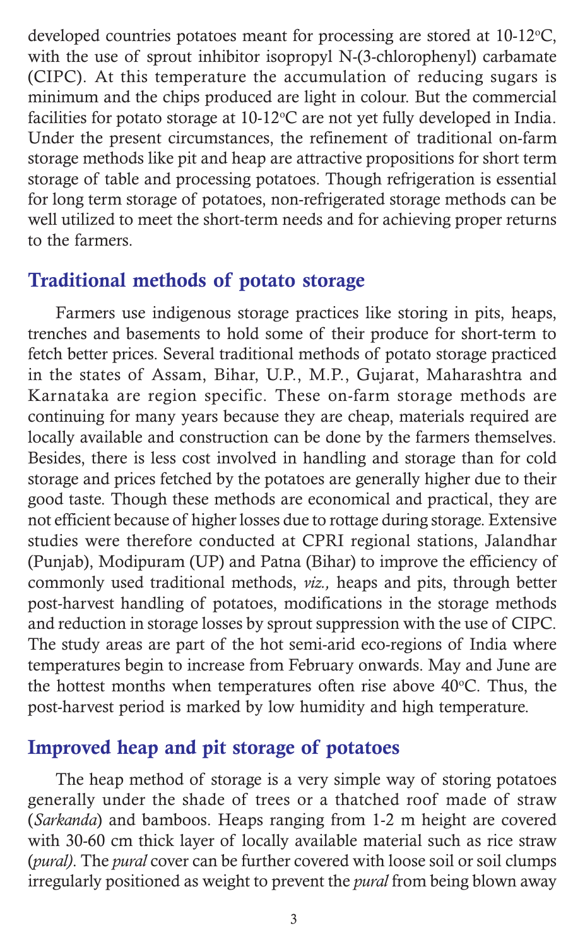developed countries potatoes meant for processing are stored at 10-12°C, with the use of sprout inhibitor isopropyl N-(3-chlorophenyl) carbamate (CIPC). At this temperature the accumulation of reducing sugars is minimum and the chips produced are light in colour. But the commercial facilities for potato storage at  $10{\text -}12^{\circ}\text{C}$  are not yet fully developed in India. Under the present circumstances, the refinement of traditional on-farm storage methods like pit and heap are attractive propositions for short term storage of table and processing potatoes. Though refrigeration is essential for long term storage of potatoes, non-refrigerated storage methods can be well utilized to meet the short-term needs and for achieving proper returns to the farmers.

#### Traditional methods of potato storage

Farmers use indigenous storage practices like storing in pits, heaps, trenches and basements to hold some of their produce for short-term to fetch better prices. Several traditional methods of potato storage practiced in the states of Assam, Bihar, U.P., M.P., Gujarat, Maharashtra and Karnataka are region specific. These on-farm storage methods are continuing for many years because they are cheap, materials required are locally available and construction can be done by the farmers themselves. Besides, there is less cost involved in handling and storage than for cold storage and prices fetched by the potatoes are generally higher due to their good taste. Though these methods are economical and practical, they are not efficient because of higher losses due to rottage during storage. Extensive studies were therefore conducted at CPRI regional stations, Jalandhar (Punjab), Modipuram (UP) and Patna (Bihar) to improve the efficiency of commonly used traditional methods, viz., heaps and pits, through better post-harvest handling of potatoes, modifications in the storage methods and reduction in storage losses by sprout suppression with the use of CIPC. The study areas are part of the hot semi-arid eco-regions of India where temperatures begin to increase from February onwards. May and June are the hottest months when temperatures often rise above  $40^{\circ}$ C. Thus, the post-harvest period is marked by low humidity and high temperature.

#### Improved heap and pit storage of potatoes

The heap method of storage is a very simple way of storing potatoes generally under the shade of trees or a thatched roof made of straw (Sarkanda) and bamboos. Heaps ranging from 1-2 m height are covered with 30-60 cm thick layer of locally available material such as rice straw (pural). The pural cover can be further covered with loose soil or soil clumps irregularly positioned as weight to prevent the pural from being blown away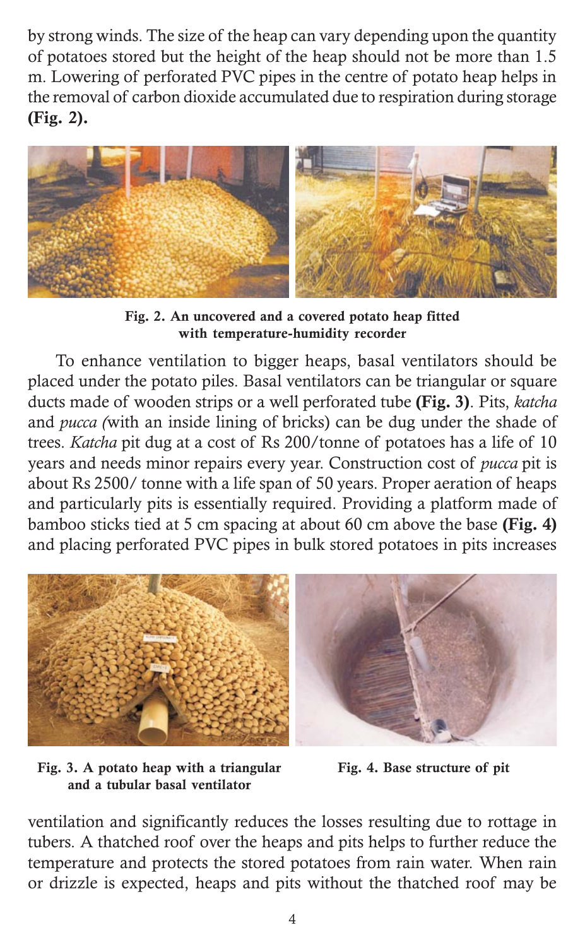by strong winds. The size of the heap can vary depending upon the quantity of potatoes stored but the height of the heap should not be more than 1.5 m. Lowering of perforated PVC pipes in the centre of potato heap helps in the removal of carbon dioxide accumulated due to respiration during storage (Fig. 2).



Fig. 2. An uncovered and a covered potato heap fitted with temperature-humidity recorder

To enhance ventilation to bigger heaps, basal ventilators should be placed under the potato piles. Basal ventilators can be triangular or square ducts made of wooden strips or a well perforated tube (Fig. 3). Pits, katcha and pucca (with an inside lining of bricks) can be dug under the shade of trees. Katcha pit dug at a cost of Rs 200/tonne of potatoes has a life of 10 years and needs minor repairs every year. Construction cost of pucca pit is about Rs 2500/ tonne with a life span of 50 years. Proper aeration of heaps and particularly pits is essentially required. Providing a platform made of bamboo sticks tied at 5 cm spacing at about 60 cm above the base (Fig. 4) and placing perforated PVC pipes in bulk stored potatoes in pits increases



Fig. 3. A potato heap with a triangular and a tubular basal ventilator

Fig. 4. Base structure of pit

ventilation and significantly reduces the losses resulting due to rottage in tubers. A thatched roof over the heaps and pits helps to further reduce the temperature and protects the stored potatoes from rain water. When rain or drizzle is expected, heaps and pits without the thatched roof may be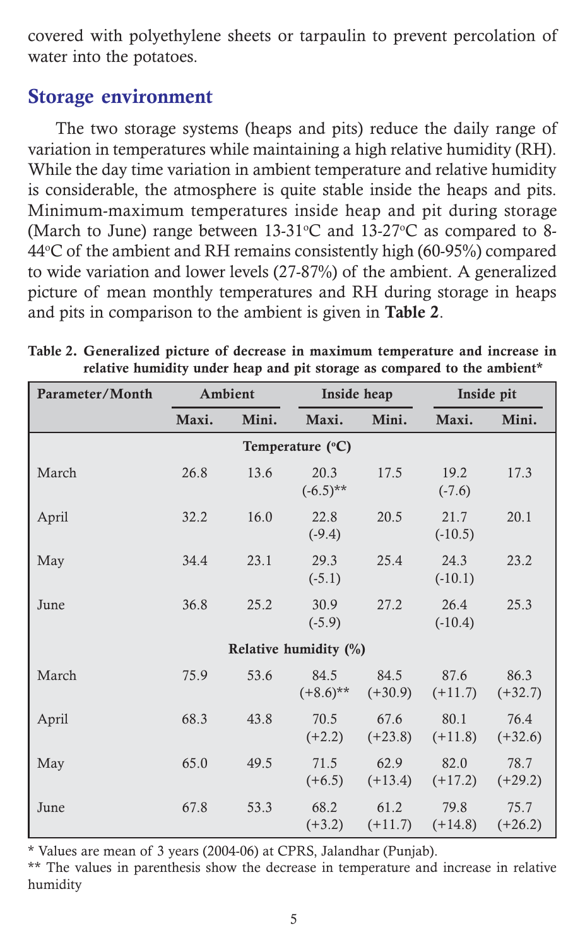covered with polyethylene sheets or tarpaulin to prevent percolation of water into the potatoes.

## Storage environment

The two storage systems (heaps and pits) reduce the daily range of variation in temperatures while maintaining a high relative humidity (RH). While the day time variation in ambient temperature and relative humidity is considerable, the atmosphere is quite stable inside the heaps and pits. Minimum-maximum temperatures inside heap and pit during storage (March to June) range between  $13-31^{\circ}$ C and  $13-27^{\circ}$ C as compared to 8-44°C of the ambient and RH remains consistently high (60-95%) compared to wide variation and lower levels (27-87%) of the ambient. A generalized picture of mean monthly temperatures and RH during storage in heaps and pits in comparison to the ambient is given in Table 2.

| Parameter/Month       |       | Ambient | Inside heap         |                   |                             | Inside pit        |
|-----------------------|-------|---------|---------------------|-------------------|-----------------------------|-------------------|
|                       | Maxi. | Mini.   | Maxi.               | Mini.             | Maxi.                       | Mini.             |
|                       |       |         | Temperature (°C)    |                   |                             |                   |
| March                 | 26.8  | 13.6    | 20.3<br>$(-6.5)$ ** | 17.5              | 19.2<br>$(-7.6)$            | 17.3              |
| April                 | 32.2  | 16.0    | 22.8<br>$(-9.4)$    | 20.5              | 21.7<br>$(-10.5)$           | 20.1              |
| May                   | 34.4  | 23.1    | 29.3<br>$(-5.1)$    | 25.4              | 24.3<br>$(-10.1)$           | 23.2              |
| June                  | 36.8  | 25.2    | 30.9<br>$(-5.9)$    | 27.2              | 26.4<br>$(-10.4)$           | 25.3              |
| Relative humidity (%) |       |         |                     |                   |                             |                   |
| March                 | 75.9  | 53.6    | 84.5<br>$(+8.6)$ ** | 84.5<br>$(+30.9)$ | 87.6<br>$(+11.7)$           | 86.3<br>$(+32.7)$ |
| April                 | 68.3  | 43.8    | 70.5<br>$(+2.2)$    | 67.6<br>$(+23.8)$ | 80.1<br>$(+11.8)$           | 76.4<br>$(+32.6)$ |
| May                   | 65.0  | 49.5    | 71.5<br>$(+6.5)$    | 62.9<br>$(+13.4)$ | 82.0<br>$(+17.2)$           | 78.7<br>$(+29.2)$ |
| June                  | 67.8  | 53.3    | 68.2<br>$(+3.2)$    | 61.2              | 79.8<br>$(+11.7)$ $(+14.8)$ | 75.7<br>$(+26.2)$ |

Table 2. Generalized picture of decrease in maximum temperature and increase in relative humidity under heap and pit storage as compared to the ambient\*

\* Values are mean of 3 years (2004-06) at CPRS, Jalandhar (Punjab).

\*\* The values in parenthesis show the decrease in temperature and increase in relative humidity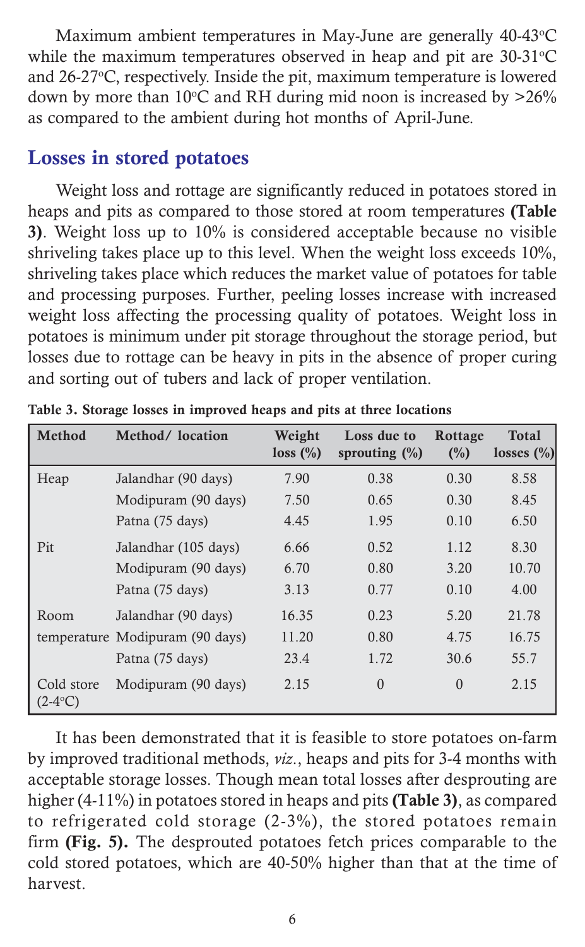Maximum ambient temperatures in May-June are generally 40-43°C while the maximum temperatures observed in heap and pit are  $30-31^{\circ}C$ and 26-27°C, respectively. Inside the pit, maximum temperature is lowered down by more than 10°C and RH during mid noon is increased by  $>$ 26% as compared to the ambient during hot months of April-June.

#### Losses in stored potatoes

Weight loss and rottage are significantly reduced in potatoes stored in heaps and pits as compared to those stored at room temperatures (Table 3). Weight loss up to 10% is considered acceptable because no visible shriveling takes place up to this level. When the weight loss exceeds 10%, shriveling takes place which reduces the market value of potatoes for table and processing purposes. Further, peeling losses increase with increased weight loss affecting the processing quality of potatoes. Weight loss in potatoes is minimum under pit storage throughout the storage period, but losses due to rottage can be heavy in pits in the absence of proper curing and sorting out of tubers and lack of proper ventilation.

| <b>Method</b>            | Method/ location                | Weight<br>loss $(\%)$ | Loss due to<br>sprouting $(\%)$ | Rottage<br>$\binom{0}{0}$ | <b>Total</b><br>losses $(\%)$ |
|--------------------------|---------------------------------|-----------------------|---------------------------------|---------------------------|-------------------------------|
| Heap                     | Jalandhar (90 days)             | 7.90                  | 0.38                            | 0.30                      | 8.58                          |
|                          | Modipuram (90 days)             | 7.50                  | 0.65                            | 0.30                      | 8.45                          |
|                          | Patna (75 days)                 | 4.45                  | 1.95                            | 0.10                      | 6.50                          |
| Pit                      | Jalandhar (105 days)            | 6.66                  | 0.52                            | 1.12                      | 8.30                          |
|                          | Modipuram (90 days)             | 6.70                  | 0.80                            | 3.20                      | 10.70                         |
|                          | Patna (75 days)                 | 3.13                  | 0.77                            | 0.10                      | 4.00                          |
| Room                     | Jalandhar (90 days)             | 16.35                 | 0.23                            | 5.20                      | 21.78                         |
|                          | temperature Modipuram (90 days) | 11.20                 | 0.80                            | 4.75                      | 16.75                         |
|                          | Patna (75 days)                 | 23.4                  | 1.72                            | 30.6                      | 55.7                          |
| Cold store<br>$(2-4$ °C) | Modipuram (90 days)             | 2.15                  | $\theta$                        | $\theta$                  | 2.15                          |

Table 3. Storage losses in improved heaps and pits at three locations

It has been demonstrated that it is feasible to store potatoes on-farm by improved traditional methods, viz., heaps and pits for 3-4 months with acceptable storage losses. Though mean total losses after desprouting are higher (4-11%) in potatoes stored in heaps and pits (Table 3), as compared to refrigerated cold storage (2-3%), the stored potatoes remain firm (Fig. 5). The desprouted potatoes fetch prices comparable to the cold stored potatoes, which are 40-50% higher than that at the time of harvest.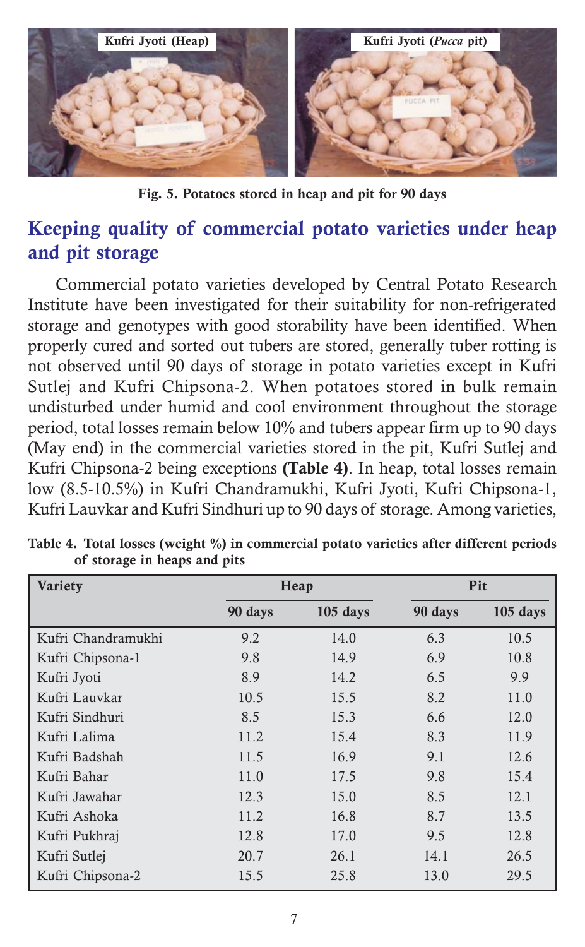

Fig. 5. Potatoes stored in heap and pit for 90 days

# Keeping quality of commercial potato varieties under heap and pit storage

Commercial potato varieties developed by Central Potato Research Institute have been investigated for their suitability for non-refrigerated storage and genotypes with good storability have been identified. When properly cured and sorted out tubers are stored, generally tuber rotting is not observed until 90 days of storage in potato varieties except in Kufri Sutlej and Kufri Chipsona-2. When potatoes stored in bulk remain undisturbed under humid and cool environment throughout the storage period, total losses remain below 10% and tubers appear firm up to 90 days (May end) in the commercial varieties stored in the pit, Kufri Sutlej and Kufri Chipsona-2 being exceptions (Table 4). In heap, total losses remain low (8.5-10.5%) in Kufri Chandramukhi, Kufri Jyoti, Kufri Chipsona-1, Kufri Lauvkar and Kufri Sindhuri up to 90 days of storage. Among varieties,

| <b>Variety</b>     |         | Heap     |         | Pit        |
|--------------------|---------|----------|---------|------------|
|                    | 90 days | 105 days | 90 days | $105$ days |
| Kufri Chandramukhi | 9.2     | 14.0     | 6.3     | 10.5       |
| Kufri Chipsona-1   | 9.8     | 14.9     | 6.9     | 10.8       |
| Kufri Jyoti        | 8.9     | 14.2     | 6.5     | 9.9        |
| Kufri Lauvkar      | 10.5    | 15.5     | 8.2     | 11.0       |
| Kufri Sindhuri     | 8.5     | 15.3     | 6.6     | 12.0       |
| Kufri Lalima       | 11.2    | 15.4     | 8.3     | 11.9       |
| Kufri Badshah      | 11.5    | 16.9     | 9.1     | 12.6       |
| Kufri Bahar        | 11.0    | 17.5     | 9.8     | 15.4       |
| Kufri Jawahar      | 12.3    | 15.0     | 8.5     | 12.1       |
| Kufri Ashoka       | 11.2    | 16.8     | 8.7     | 13.5       |
| Kufri Pukhraj      | 12.8    | 17.0     | 9.5     | 12.8       |
| Kufri Sutlej       | 20.7    | 26.1     | 14.1    | 26.5       |
| Kufri Chipsona-2   | 15.5    | 25.8     | 13.0    | 29.5       |

Table 4. Total losses (weight %) in commercial potato varieties after different periods of storage in heaps and pits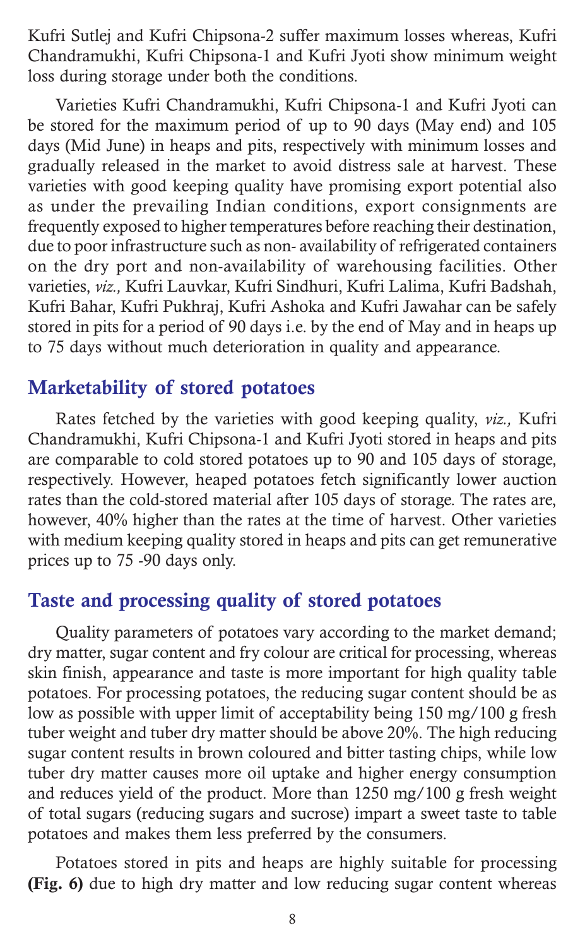Kufri Sutlej and Kufri Chipsona-2 suffer maximum losses whereas, Kufri Chandramukhi, Kufri Chipsona-1 and Kufri Jyoti show minimum weight loss during storage under both the conditions.

Varieties Kufri Chandramukhi, Kufri Chipsona-1 and Kufri Jyoti can be stored for the maximum period of up to 90 days (May end) and 105 days (Mid June) in heaps and pits, respectively with minimum losses and gradually released in the market to avoid distress sale at harvest. These varieties with good keeping quality have promising export potential also as under the prevailing Indian conditions, export consignments are frequently exposed to higher temperatures before reaching their destination, due to poor infrastructure such as non- availability of refrigerated containers on the dry port and non-availability of warehousing facilities. Other varieties, viz., Kufri Lauvkar, Kufri Sindhuri, Kufri Lalima, Kufri Badshah, Kufri Bahar, Kufri Pukhraj, Kufri Ashoka and Kufri Jawahar can be safely stored in pits for a period of 90 days i.e. by the end of May and in heaps up to 75 days without much deterioration in quality and appearance.

#### Marketability of stored potatoes

Rates fetched by the varieties with good keeping quality, viz., Kufri Chandramukhi, Kufri Chipsona-1 and Kufri Jyoti stored in heaps and pits are comparable to cold stored potatoes up to 90 and 105 days of storage, respectively. However, heaped potatoes fetch significantly lower auction rates than the cold-stored material after 105 days of storage. The rates are, however, 40% higher than the rates at the time of harvest. Other varieties with medium keeping quality stored in heaps and pits can get remunerative prices up to 75 -90 days only.

#### Taste and processing quality of stored potatoes

Quality parameters of potatoes vary according to the market demand; dry matter, sugar content and fry colour are critical for processing, whereas skin finish, appearance and taste is more important for high quality table potatoes. For processing potatoes, the reducing sugar content should be as low as possible with upper limit of acceptability being 150 mg/100 g fresh tuber weight and tuber dry matter should be above 20%. The high reducing sugar content results in brown coloured and bitter tasting chips, while low tuber dry matter causes more oil uptake and higher energy consumption and reduces yield of the product. More than 1250 mg/100 g fresh weight of total sugars (reducing sugars and sucrose) impart a sweet taste to table potatoes and makes them less preferred by the consumers.

Potatoes stored in pits and heaps are highly suitable for processing (Fig. 6) due to high dry matter and low reducing sugar content whereas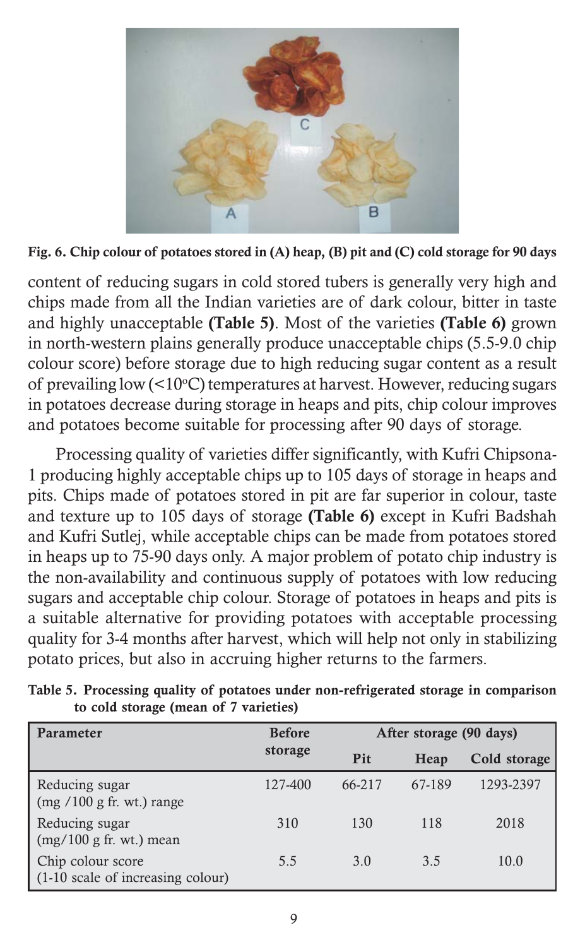

Fig. 6. Chip colour of potatoes stored in (A) heap, (B) pit and (C) cold storage for 90 days

content of reducing sugars in cold stored tubers is generally very high and chips made from all the Indian varieties are of dark colour, bitter in taste and highly unacceptable (Table 5). Most of the varieties (Table 6) grown in north-western plains generally produce unacceptable chips (5.5-9.0 chip colour score) before storage due to high reducing sugar content as a result of prevailing low (<10°C) temperatures at harvest. However, reducing sugars in potatoes decrease during storage in heaps and pits, chip colour improves and potatoes become suitable for processing after 90 days of storage.

Processing quality of varieties differ significantly, with Kufri Chipsona-1 producing highly acceptable chips up to 105 days of storage in heaps and pits. Chips made of potatoes stored in pit are far superior in colour, taste and texture up to 105 days of storage (Table 6) except in Kufri Badshah and Kufri Sutlej, while acceptable chips can be made from potatoes stored in heaps up to 75-90 days only. A major problem of potato chip industry is the non-availability and continuous supply of potatoes with low reducing sugars and acceptable chip colour. Storage of potatoes in heaps and pits is a suitable alternative for providing potatoes with acceptable processing quality for 3-4 months after harvest, which will help not only in stabilizing potato prices, but also in accruing higher returns to the farmers.

| Parameter                                              | <b>Before</b> | After storage (90 days) |        |              |  |  |
|--------------------------------------------------------|---------------|-------------------------|--------|--------------|--|--|
|                                                        | storage       | Pit                     | Heap   | Cold storage |  |  |
| Reducing sugar<br>$(mg / 100 g$ fr. wt.) range         | 127-400       | 66-217                  | 67-189 | 1293-2397    |  |  |
| Reducing sugar<br>$(mg/100 g$ fr. wt.) mean            | 310           | 130                     | 118    | 2018         |  |  |
| Chip colour score<br>(1-10 scale of increasing colour) | 5.5           | 3.0                     | 3.5    | 10.0         |  |  |

Table 5. Processing quality of potatoes under non-refrigerated storage in comparison to cold storage (mean of 7 varieties)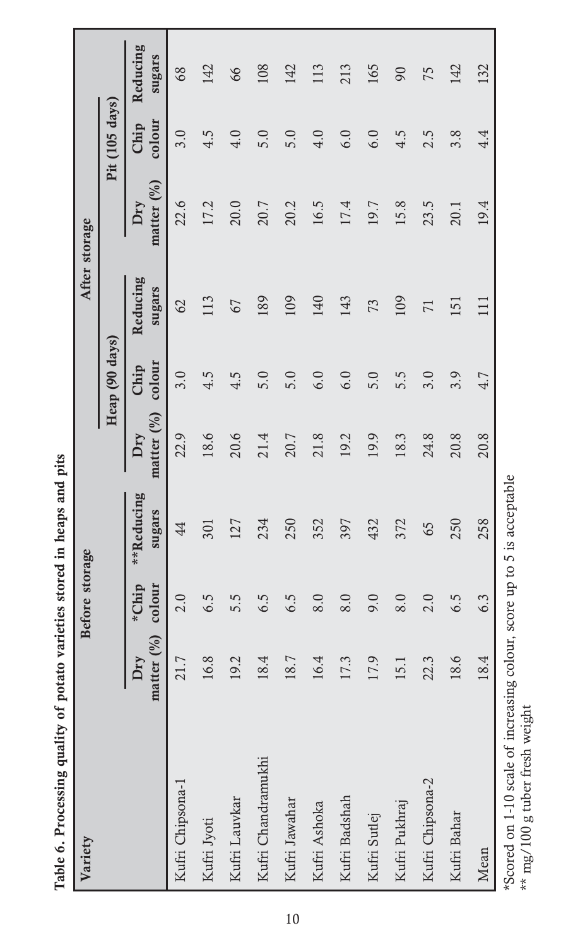Table 6. Processing quality of potato varieties stored in heaps and pits Table 6. Processing quality of potato varieties stored in heaps and pits

| Variety            |                            | Before storage  |                      |                            |                |                    | After storage        |                |                    |
|--------------------|----------------------------|-----------------|----------------------|----------------------------|----------------|--------------------|----------------------|----------------|--------------------|
|                    |                            |                 |                      |                            | Heap (90 days) |                    |                      | Pit (105 days) |                    |
|                    | matter $(^{0}_{0})$<br>Dry | *Chip<br>colour | **Reducing<br>sugars | matter $(^{0}_{0})$<br>Dry | colour<br>Chip | Reducing<br>sugars | matter $(\%)$<br>Dry | colour<br>Chip | Reducing<br>sugars |
| Kufri Chipsona-1   | 21.7                       | 2.0             | 4                    | 22.9                       | 3.0            | 62                 | 22.6                 | 3.0            | 68                 |
| Kufri Jyoti        | 16.8                       | 6.5             | 301                  | 18.6                       | 4.5            | 113                | 17.2                 | 4.5            | 142                |
| Kufri Lauvkar      | 19.2                       | 5.5             | 127                  | 20.6                       | 4.5            | 67                 | 20.0                 | 4.0            | 66                 |
| Kufri Chandramukhi | 18.4                       | 6.5             | 234                  | 21.4                       | 5.0            | 189                | 20.7                 | 5.0            | 108                |
| Kufri Jawahar      | 18.7                       | 6.5             | 250                  | 20.7                       | 5.0            | 109                | 20.2                 | 5.0            | 142                |
| Kufri Ashoka       | 16.4                       | 8.0             | 352                  | 21.8                       | 6.0            | 140                | 16.5                 | 4.0            | 113                |
| Kufri Badshah      | 17.3                       | 8.0             | 397                  | 19.2                       | 0.9            | 143                | 17.4                 | 6.0            | 213                |
| Kufri Sutlej       | 17.9                       | 9.0             | 432                  | 19.9                       | 5.0            | 73                 | 19.7                 | 6.0            | 165                |
| Kufri Pukhraj      | 15.1                       | 8.0             | 372                  | 18.3                       | 5.5            | 109                | 15.8                 | 4.5            | $\infty$           |
| Kufri Chipsona-2   | 22.3                       | 2.0             | 65                   | 24.8                       | 3.0            | $\overline{71}$    | 23.5                 | 2.5            | 75                 |
| Kufri Bahar        | 18.6                       | 6.5             | 250                  | 20.8                       | 3.9            | 151                | 20.1                 | 3.8            | 142                |
| Mean               | 18.4                       | 6.3             | 258                  | 20.8                       | 4.7            | 111                | 19.4                 | 4.4            | 132                |

 $*$  Scored on 1-10 scale of increasing colour, score up to 5 is acceptable  $**$  mg/100 g tuber fresh weight \*Scored on 1-10 scale of increasing colour, score up to 5 is acceptable \*\* mg/100 g tuber fresh weight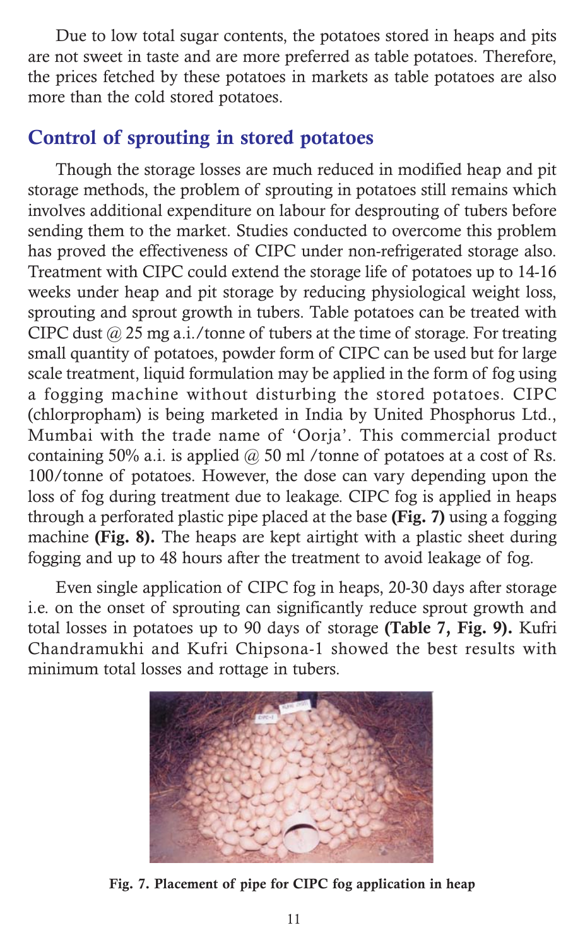Due to low total sugar contents, the potatoes stored in heaps and pits are not sweet in taste and are more preferred as table potatoes. Therefore, the prices fetched by these potatoes in markets as table potatoes are also more than the cold stored potatoes.

# Control of sprouting in stored potatoes

Though the storage losses are much reduced in modified heap and pit storage methods, the problem of sprouting in potatoes still remains which involves additional expenditure on labour for desprouting of tubers before sending them to the market. Studies conducted to overcome this problem has proved the effectiveness of CIPC under non-refrigerated storage also. Treatment with CIPC could extend the storage life of potatoes up to 14-16 weeks under heap and pit storage by reducing physiological weight loss, sprouting and sprout growth in tubers. Table potatoes can be treated with CIPC dust @ 25 mg a.i./tonne of tubers at the time of storage. For treating small quantity of potatoes, powder form of CIPC can be used but for large scale treatment, liquid formulation may be applied in the form of fog using a fogging machine without disturbing the stored potatoes. CIPC (chlorpropham) is being marketed in India by United Phosphorus Ltd., Mumbai with the trade name of 'Oorja'. This commercial product containing 50% a.i. is applied  $\omega$  50 ml /tonne of potatoes at a cost of Rs. 100/tonne of potatoes. However, the dose can vary depending upon the loss of fog during treatment due to leakage. CIPC fog is applied in heaps through a perforated plastic pipe placed at the base (Fig. 7) using a fogging machine (Fig. 8). The heaps are kept airtight with a plastic sheet during fogging and up to 48 hours after the treatment to avoid leakage of fog.

Even single application of CIPC fog in heaps, 20-30 days after storage i.e. on the onset of sprouting can significantly reduce sprout growth and total losses in potatoes up to 90 days of storage (Table 7, Fig. 9). Kufri Chandramukhi and Kufri Chipsona-1 showed the best results with minimum total losses and rottage in tubers.



Fig. 7. Placement of pipe for CIPC fog application in heap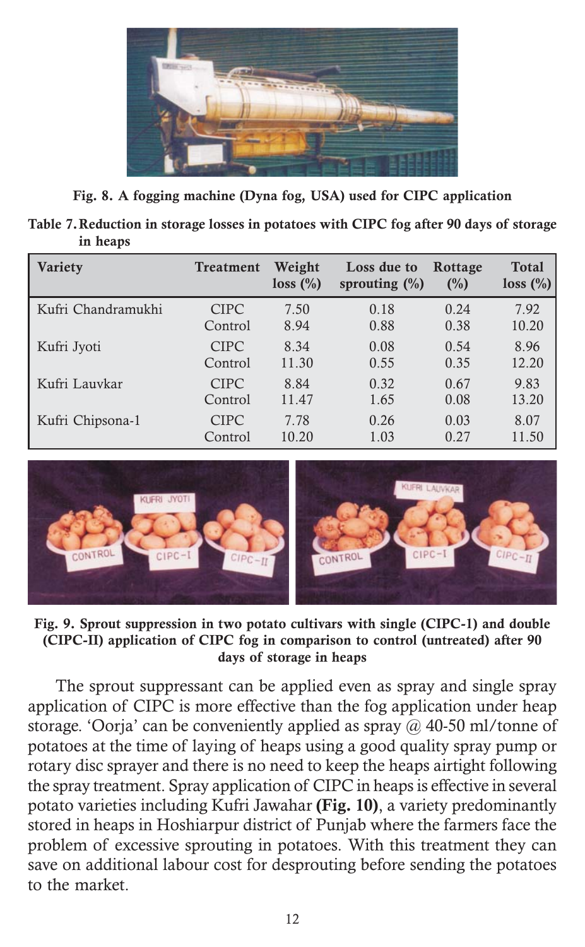

Fig. 8. A fogging machine (Dyna fog, USA) used for CIPC application

| Table 7. Reduction in storage losses in potatoes with CIPC fog after 90 days of storage |  |  |
|-----------------------------------------------------------------------------------------|--|--|
| in heaps                                                                                |  |  |

| <b>Variety</b>     | Treatment   | Weight<br>loss (%) | Loss due to<br>sprouting $(\% )$ | Rottage<br>(%) | <b>Total</b><br>loss (%) |
|--------------------|-------------|--------------------|----------------------------------|----------------|--------------------------|
| Kufri Chandramukhi | <b>CIPC</b> | 7.50               | 0.18                             | 0.24           | 7.92                     |
|                    | Control     | 8.94               | 0.88                             | 0.38           | 10.20                    |
| Kufri Jyoti        | <b>CIPC</b> | 8.34               | 0.08                             | 0.54           | 8.96                     |
|                    | Control     | 11.30              | 0.55                             | 0.35           | 12.20                    |
| Kufri Lauvkar      | <b>CIPC</b> | 8.84               | 0.32                             | 0.67           | 9.83                     |
|                    | Control     | 11.47              | 1.65                             | 0.08           | 13.20                    |
| Kufri Chipsona-1   | <b>CIPC</b> | 7.78               | 0.26                             | 0.03           | 8.07                     |
|                    | Control     | 10.20              | 1.03                             | 0.27           | 11.50                    |



Fig. 9. Sprout suppression in two potato cultivars with single (CIPC-1) and double (CIPC-II) application of CIPC fog in comparison to control (untreated) after 90 days of storage in heaps

The sprout suppressant can be applied even as spray and single spray application of CIPC is more effective than the fog application under heap storage. 'Oorja' can be conveniently applied as spray  $\omega$  40-50 ml/tonne of potatoes at the time of laying of heaps using a good quality spray pump or rotary disc sprayer and there is no need to keep the heaps airtight following the spray treatment. Spray application of CIPC in heaps is effective in several potato varieties including Kufri Jawahar (Fig. 10), a variety predominantly stored in heaps in Hoshiarpur district of Punjab where the farmers face the problem of excessive sprouting in potatoes. With this treatment they can save on additional labour cost for desprouting before sending the potatoes to the market.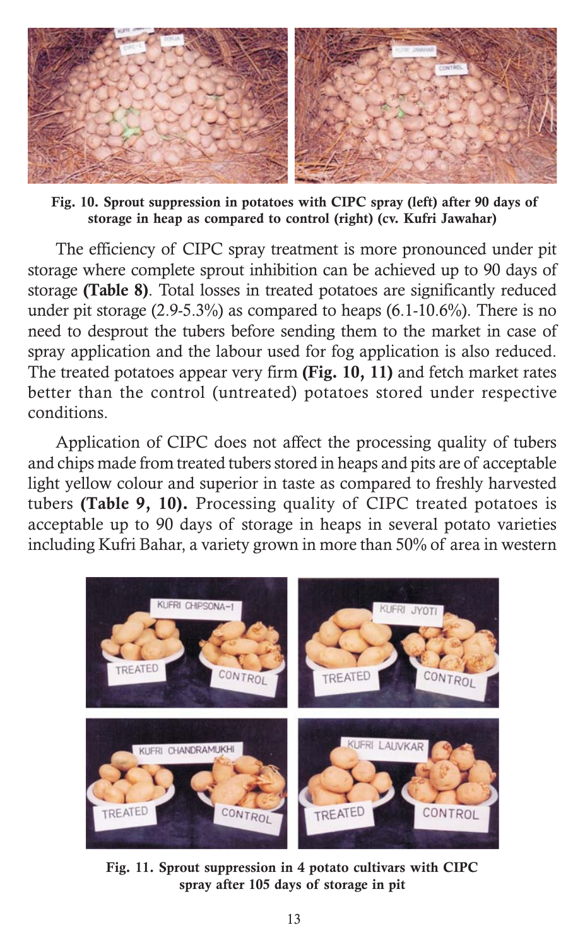

 Fig. 10. Sprout suppression in potatoes with CIPC spray (left) after 90 days of storage in heap as compared to control (right) (cv. Kufri Jawahar)

The efficiency of CIPC spray treatment is more pronounced under pit storage where complete sprout inhibition can be achieved up to 90 days of storage (Table 8). Total losses in treated potatoes are significantly reduced under pit storage (2.9-5.3%) as compared to heaps (6.1-10.6%). There is no need to desprout the tubers before sending them to the market in case of spray application and the labour used for fog application is also reduced. The treated potatoes appear very firm (Fig. 10, 11) and fetch market rates better than the control (untreated) potatoes stored under respective conditions.

Application of CIPC does not affect the processing quality of tubers and chips made from treated tubers stored in heaps and pits are of acceptable light yellow colour and superior in taste as compared to freshly harvested tubers (Table 9, 10). Processing quality of CIPC treated potatoes is acceptable up to 90 days of storage in heaps in several potato varieties including Kufri Bahar, a variety grown in more than 50% of area in western



Fig. 11. Sprout suppression in 4 potato cultivars with CIPC spray after 105 days of storage in pit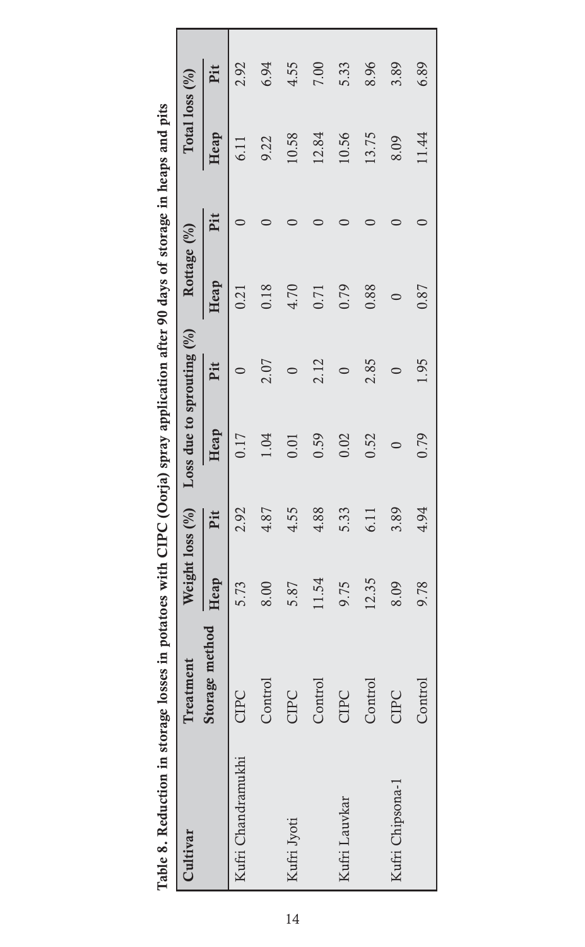|                    | 1               |                 | ,    | $\frac{1}{2}$<br>,<br>$\ddot{\phantom{0}}$ |         |         | J   |                         |      |
|--------------------|-----------------|-----------------|------|--------------------------------------------|---------|---------|-----|-------------------------|------|
| Cultivar           | <b>Treatmen</b> | Weight loss (%) |      | Loss due to sprouting (                    |         | Rottage |     | $Total loss (^{0}_{0})$ |      |
|                    | Storage methor  | Heap            | Pit  | Heap                                       | Pit     | Heap    | Pit | Heap                    | Pit  |
| Kufri Chandramukhi | CIPC            | 5.73            | 2.92 | 0.17                                       |         | 0.21    |     |                         | 2.92 |
|                    | Control         | 8.00            | 4.87 | 1.04                                       | 2.07    | 0.18    |     | 9.22                    | 6.94 |
| Kufri Jyoti        | CIPC            | 5.87            | 4.55 | 0.01                                       | $\circ$ | 4.70    |     | 10.58                   | 4.55 |
|                    | Control         | 11.54           | 4.88 | 0.59                                       | 2.12    | 0.71    |     | 12.84                   | 7.00 |
| Kufri Lauvkar      | CIPC            | 9.75            | 5.33 | 0.02                                       | $\circ$ | 0.79    |     | 10.56                   | 5.33 |
|                    | Control         | 12.35           | 6.11 | 0.52                                       | 2.85    | 0.88    |     | 13.75                   | 8.96 |
| Kufri Chipsona-1   | CIPC            | 8.09            | 3.89 |                                            |         |         |     | 8.09                    | 3.89 |
|                    | Control         | 9.78            | 4.94 | 0.79                                       | 1.95    | 0.87    |     | 11.44                   | 6.89 |

Table 8. Reduction in storage losses in potatoes with CIPC (Oorja) spray application after 90 days of storage in heaps and pits Table 8. Reduction in storage losses in potatoes with CIPC (Oorja) spray application after 90 days of storage in heaps and pits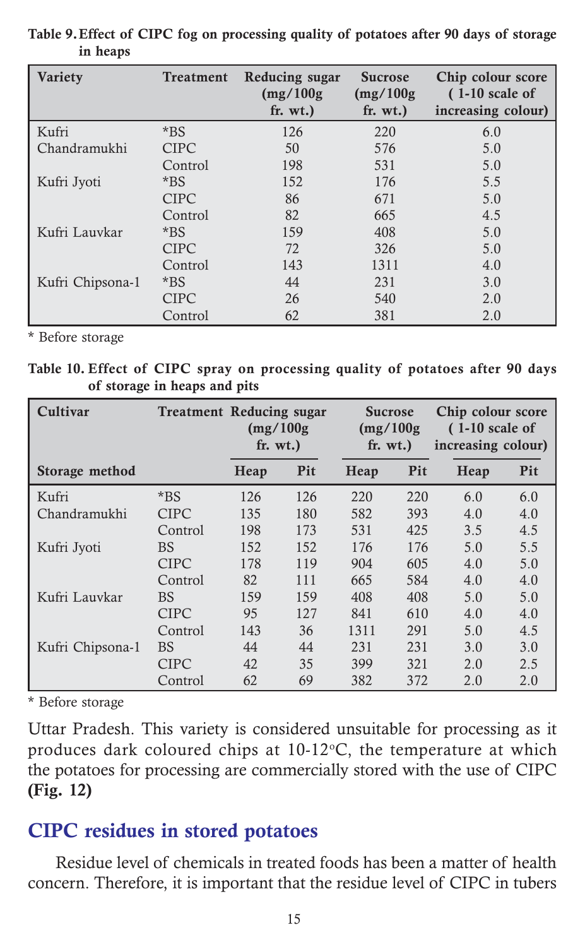| <b>Variety</b>   | <b>Treatment</b> | Reducing sugar<br>(mg/100g<br>fr. wt.) | <b>Sucrose</b><br>(mg/100g<br>fr. wt.) | Chip colour score<br>$(1-10)$ scale of<br>increasing colour) |
|------------------|------------------|----------------------------------------|----------------------------------------|--------------------------------------------------------------|
| Kufri            | $*$ BS           | 126                                    | 220                                    | 6.0                                                          |
| Chandramukhi     | <b>CIPC</b>      | 50                                     | 576                                    | 5.0                                                          |
|                  | Control          | 198                                    | 531                                    | 5.0                                                          |
| Kufri Jyoti      | *BS              | 152                                    | 176                                    | 5.5                                                          |
|                  | <b>CIPC</b>      | 86                                     | 671                                    | 5.0                                                          |
|                  | Control          | 82                                     | 665                                    | 4.5                                                          |
| Kufri Lauvkar    | $*$ BS           | 159                                    | 408                                    | 5.0                                                          |
|                  | <b>CIPC</b>      | 72                                     | 326                                    | 5.0                                                          |
|                  | Control          | 143                                    | 1311                                   | 4.0                                                          |
| Kufri Chipsona-1 | *BS              | 44                                     | 231                                    | 3.0                                                          |
|                  | <b>CIPC</b>      | 26                                     | 540                                    | 2.0                                                          |
|                  | Control          | 62                                     | 381                                    | 2.0                                                          |

Table 9.Effect of CIPC fog on processing quality of potatoes after 90 days of storage in heaps

\* Before storage

Table 10. Effect of CIPC spray on processing quality of potatoes after 90 days of storage in heaps and pits

| Cultivar         | <b>Treatment Reducing sugar</b> | (mg/100g)<br>fr. wt.) |     | <b>Sucrose</b><br>(mg/100g)<br>fr. wt.) |     | Chip colour score<br>$(1-10)$ scale of<br>increasing colour) |     |
|------------------|---------------------------------|-----------------------|-----|-----------------------------------------|-----|--------------------------------------------------------------|-----|
| Storage method   |                                 | Heap                  | Pit | Heap                                    | Pit | Heap                                                         | Pit |
| Kufri            | *BS                             | 126                   | 126 | 220                                     | 220 | 6.0                                                          | 6.0 |
| Chandramukhi     | <b>CIPC</b>                     | 135                   | 180 | 582                                     | 393 | 4.0                                                          | 4.0 |
|                  | Control                         | 198                   | 173 | 531                                     | 425 | 3.5                                                          | 4.5 |
| Kufri Jyoti      | BS                              | 152                   | 152 | 176                                     | 176 | 5.0                                                          | 5.5 |
|                  | <b>CIPC</b>                     | 178                   | 119 | 904                                     | 605 | 4.0                                                          | 5.0 |
|                  | Control                         | 82                    | 111 | 665                                     | 584 | 4.0                                                          | 4.0 |
| Kufri Lauvkar    | BS                              | 159                   | 159 | 408                                     | 408 | 5.0                                                          | 5.0 |
|                  | <b>CIPC</b>                     | 95                    | 127 | 841                                     | 610 | 4.0                                                          | 4.0 |
|                  | Control                         | 143                   | 36  | 1311                                    | 291 | 5.0                                                          | 4.5 |
| Kufri Chipsona-1 | <b>BS</b>                       | 44                    | 44  | 231                                     | 231 | 3.0                                                          | 3.0 |
|                  | <b>CIPC</b>                     | 42                    | 35  | 399                                     | 321 | 2.0                                                          | 2.5 |
|                  | Control                         | 62                    | 69  | 382                                     | 372 | 2.0                                                          | 2.0 |

\* Before storage

Uttar Pradesh. This variety is considered unsuitable for processing as it produces dark coloured chips at  $10-12$ °C, the temperature at which the potatoes for processing are commercially stored with the use of CIPC (Fig. 12)

#### CIPC residues in stored potatoes

Residue level of chemicals in treated foods has been a matter of health concern. Therefore, it is important that the residue level of CIPC in tubers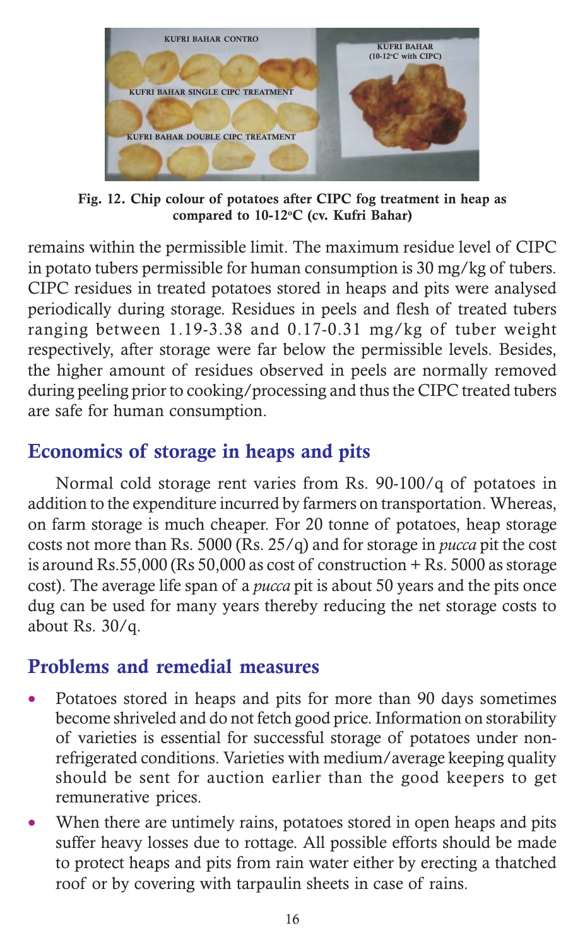

Fig. 12. Chip colour of potatoes after CIPC fog treatment in heap as compared to 10-12°C (cv. Kufri Bahar)

remains within the permissible limit. The maximum residue level of CIPC in potato tubers permissible for human consumption is 30 mg/kg of tubers. CIPC residues in treated potatoes stored in heaps and pits were analysed periodically during storage. Residues in peels and flesh of treated tubers ranging between 1.19-3.38 and 0.17-0.31 mg/kg of tuber weight respectively, after storage were far below the permissible levels. Besides, the higher amount of residues observed in peels are normally removed during peeling prior to cooking/processing and thus the CIPC treated tubers are safe for human consumption.

# Economics of storage in heaps and pits

Normal cold storage rent varies from Rs. 90-100/q of potatoes in addition to the expenditure incurred by farmers on transportation. Whereas, on farm storage is much cheaper. For 20 tonne of potatoes, heap storage costs not more than Rs. 5000 (Rs. 25/q) and for storage in pucca pit the cost is around Rs.55,000 (Rs 50,000 as cost of construction + Rs. 5000 as storage cost). The average life span of a pucca pit is about 50 years and the pits once dug can be used for many years thereby reducing the net storage costs to about Rs. 30/q.

# Problems and remedial measures

- Potatoes stored in heaps and pits for more than 90 days sometimes become shriveled and do not fetch good price. Information on storability of varieties is essential for successful storage of potatoes under nonrefrigerated conditions. Varieties with medium/average keeping quality should be sent for auction earlier than the good keepers to get remunerative prices.
- When there are untimely rains, potatoes stored in open heaps and pits suffer heavy losses due to rottage. All possible efforts should be made to protect heaps and pits from rain water either by erecting a thatched roof or by covering with tarpaulin sheets in case of rains.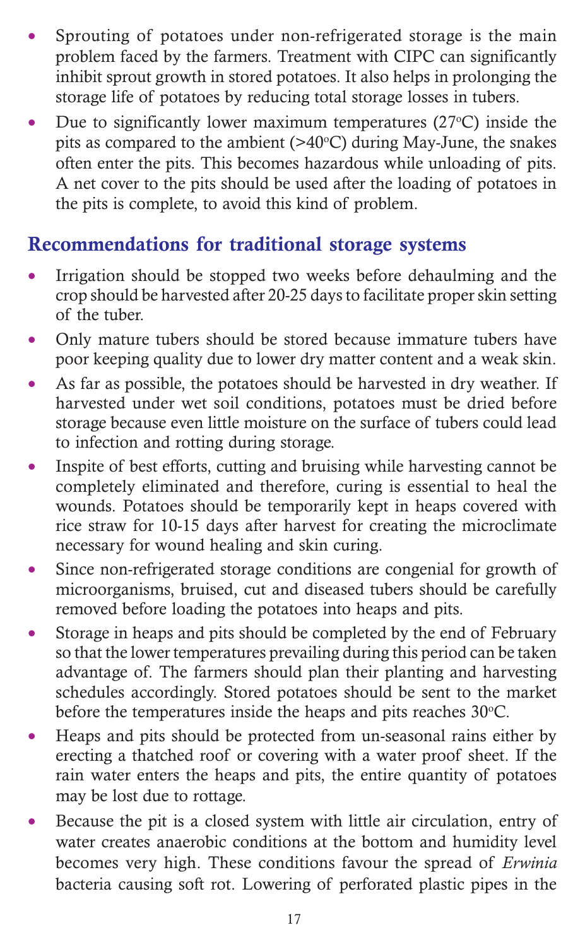- Sprouting of potatoes under non-refrigerated storage is the main problem faced by the farmers. Treatment with CIPC can significantly inhibit sprout growth in stored potatoes. It also helps in prolonging the storage life of potatoes by reducing total storage losses in tubers.
- Due to significantly lower maximum temperatures  $(27°C)$  inside the pits as compared to the ambient (>40 $\textdegree$ C) during May-June, the snakes often enter the pits. This becomes hazardous while unloading of pits. A net cover to the pits should be used after the loading of potatoes in the pits is complete, to avoid this kind of problem.

# Recommendations for traditional storage systems

- Irrigation should be stopped two weeks before dehaulming and the crop should be harvested after 20-25 days to facilitate proper skin setting of the tuber.
- Only mature tubers should be stored because immature tubers have poor keeping quality due to lower dry matter content and a weak skin.
- As far as possible, the potatoes should be harvested in dry weather. If harvested under wet soil conditions, potatoes must be dried before storage because even little moisture on the surface of tubers could lead to infection and rotting during storage.
- Inspite of best efforts, cutting and bruising while harvesting cannot be completely eliminated and therefore, curing is essential to heal the wounds. Potatoes should be temporarily kept in heaps covered with rice straw for 10-15 days after harvest for creating the microclimate necessary for wound healing and skin curing.
- Since non-refrigerated storage conditions are congenial for growth of microorganisms, bruised, cut and diseased tubers should be carefully removed before loading the potatoes into heaps and pits.
- Storage in heaps and pits should be completed by the end of February so that the lower temperatures prevailing during this period can be taken advantage of. The farmers should plan their planting and harvesting schedules accordingly. Stored potatoes should be sent to the market before the temperatures inside the heaps and pits reaches  $30^{\circ}$ C.
- Heaps and pits should be protected from un-seasonal rains either by erecting a thatched roof or covering with a water proof sheet. If the rain water enters the heaps and pits, the entire quantity of potatoes may be lost due to rottage.
- Because the pit is a closed system with little air circulation, entry of water creates anaerobic conditions at the bottom and humidity level becomes very high. These conditions favour the spread of Erwinia bacteria causing soft rot. Lowering of perforated plastic pipes in the